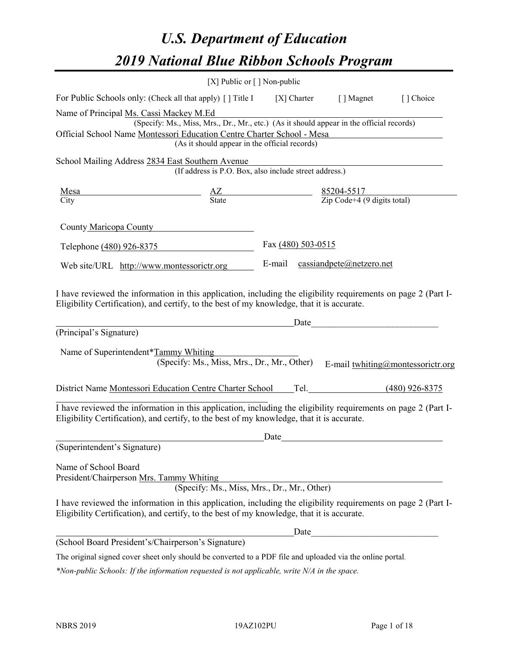# *U.S. Department of Education 2019 National Blue Ribbon Schools Program*

| [X] Public or $\lceil$ ] Non-public                                                                                                                                                                                                                                                                                                                                |                    |                                 |                                   |
|--------------------------------------------------------------------------------------------------------------------------------------------------------------------------------------------------------------------------------------------------------------------------------------------------------------------------------------------------------------------|--------------------|---------------------------------|-----------------------------------|
| For Public Schools only: (Check all that apply) [] Title I [X] Charter [] Magnet                                                                                                                                                                                                                                                                                   |                    |                                 | [] Choice                         |
| Name of Principal Ms. Cassi Mackey M.Ed                                                                                                                                                                                                                                                                                                                            |                    |                                 |                                   |
| (Specify: Ms., Miss, Mrs., Dr., Mr., etc.) (As it should appear in the official records)                                                                                                                                                                                                                                                                           |                    |                                 |                                   |
| Official School Name Montessori Education Centre Charter School - Mesa                                                                                                                                                                                                                                                                                             |                    |                                 |                                   |
| (As it should appear in the official records)                                                                                                                                                                                                                                                                                                                      |                    |                                 |                                   |
| School Mailing Address 2834 East Southern Avenue                                                                                                                                                                                                                                                                                                                   |                    |                                 |                                   |
| (If address is P.O. Box, also include street address.)                                                                                                                                                                                                                                                                                                             |                    |                                 |                                   |
| $\frac{\text{Mesa}}{\text{Citv}}$ $\frac{\text{AZ}}{\text{State}}$ $\frac{85204-5517}{\text{Zip Code}+4 (9 \text{ digits total})}$                                                                                                                                                                                                                                 |                    |                                 |                                   |
|                                                                                                                                                                                                                                                                                                                                                                    |                    |                                 |                                   |
| County Maricopa County                                                                                                                                                                                                                                                                                                                                             |                    |                                 |                                   |
| Telephone (480) 926-8375                                                                                                                                                                                                                                                                                                                                           | Fax (480) 503-0515 |                                 |                                   |
| Web site/URL http://www.montessorictr.org                                                                                                                                                                                                                                                                                                                          |                    | E-mail cassiandpete@netzero.net |                                   |
| I have reviewed the information in this application, including the eligibility requirements on page 2 (Part I-<br>Eligibility Certification), and certify, to the best of my knowledge, that it is accurate.                                                                                                                                                       |                    |                                 |                                   |
| <u>Date</u> <u>Date</u> <i>Date Date <u>new</u> <i>Date new manufacture <b><i>new manufacture new manufacture new manufacture new manufacture new manufacture new manufacture new manufacturers</i> <b><i>new manufacturers</i></b> </b></i></i><br>(Principal's Signature)<br>Name of Superintendent*Tammy Whiting<br>(Specify: Ms., Miss, Mrs., Dr., Mr., Other) |                    |                                 | E-mail twhiting@montessorictr.org |
| District Name Montessori Education Centre Charter School Tel. (480) 926-8375                                                                                                                                                                                                                                                                                       |                    |                                 |                                   |
| I have reviewed the information in this application, including the eligibility requirements on page 2 (Part I-<br>Eligibility Certification), and certify, to the best of my knowledge, that it is accurate.                                                                                                                                                       |                    |                                 |                                   |
| (Superintendent's Signature)                                                                                                                                                                                                                                                                                                                                       | Date               |                                 |                                   |
| Name of School Board<br>President/Chairperson Mrs. Tammy Whiting<br>(Specify: Ms., Miss, Mrs., Dr., Mr., Other)                                                                                                                                                                                                                                                    |                    |                                 |                                   |
| I have reviewed the information in this application, including the eligibility requirements on page 2 (Part I-<br>Eligibility Certification), and certify, to the best of my knowledge, that it is accurate.                                                                                                                                                       |                    |                                 |                                   |
| (School Board President's/Chairperson's Signature)                                                                                                                                                                                                                                                                                                                 | Date               |                                 |                                   |

The original signed cover sheet only should be converted to a PDF file and uploaded via the online portal.

*\*Non-public Schools: If the information requested is not applicable, write N/A in the space.*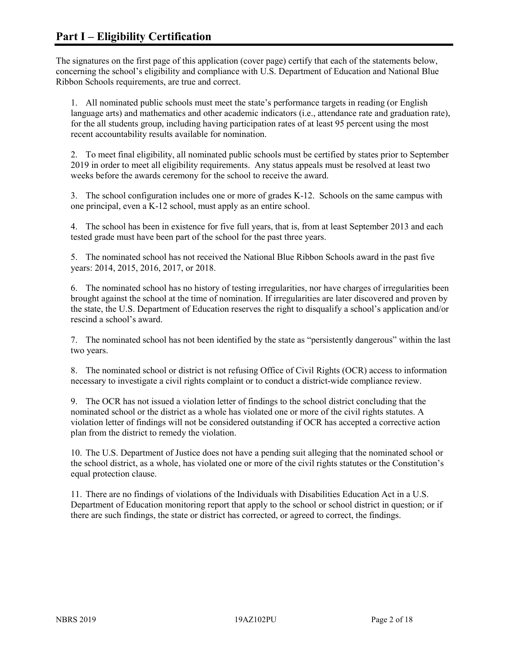The signatures on the first page of this application (cover page) certify that each of the statements below, concerning the school's eligibility and compliance with U.S. Department of Education and National Blue Ribbon Schools requirements, are true and correct.

1. All nominated public schools must meet the state's performance targets in reading (or English language arts) and mathematics and other academic indicators (i.e., attendance rate and graduation rate), for the all students group, including having participation rates of at least 95 percent using the most recent accountability results available for nomination.

2. To meet final eligibility, all nominated public schools must be certified by states prior to September 2019 in order to meet all eligibility requirements. Any status appeals must be resolved at least two weeks before the awards ceremony for the school to receive the award.

3. The school configuration includes one or more of grades K-12. Schools on the same campus with one principal, even a K-12 school, must apply as an entire school.

4. The school has been in existence for five full years, that is, from at least September 2013 and each tested grade must have been part of the school for the past three years.

5. The nominated school has not received the National Blue Ribbon Schools award in the past five years: 2014, 2015, 2016, 2017, or 2018.

6. The nominated school has no history of testing irregularities, nor have charges of irregularities been brought against the school at the time of nomination. If irregularities are later discovered and proven by the state, the U.S. Department of Education reserves the right to disqualify a school's application and/or rescind a school's award.

7. The nominated school has not been identified by the state as "persistently dangerous" within the last two years.

8. The nominated school or district is not refusing Office of Civil Rights (OCR) access to information necessary to investigate a civil rights complaint or to conduct a district-wide compliance review.

9. The OCR has not issued a violation letter of findings to the school district concluding that the nominated school or the district as a whole has violated one or more of the civil rights statutes. A violation letter of findings will not be considered outstanding if OCR has accepted a corrective action plan from the district to remedy the violation.

10. The U.S. Department of Justice does not have a pending suit alleging that the nominated school or the school district, as a whole, has violated one or more of the civil rights statutes or the Constitution's equal protection clause.

11. There are no findings of violations of the Individuals with Disabilities Education Act in a U.S. Department of Education monitoring report that apply to the school or school district in question; or if there are such findings, the state or district has corrected, or agreed to correct, the findings.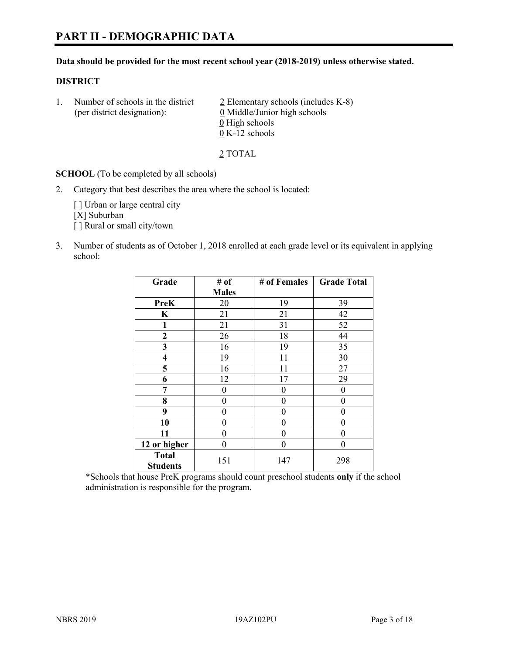#### **Data should be provided for the most recent school year (2018-2019) unless otherwise stated.**

## **DISTRICT**

1. Number of schools in the district  $\frac{2}{2}$  Elementary schools (includes K-8) (per district designation): 0 Middle/Junior high schools  $\underline{0}$  High schools 0 K-12 schools

2 TOTAL

**SCHOOL** (To be completed by all schools)

2. Category that best describes the area where the school is located:

[ ] Urban or large central city [X] Suburban [] Rural or small city/town

3. Number of students as of October 1, 2018 enrolled at each grade level or its equivalent in applying school:

| Grade                           | # of         | # of Females | <b>Grade Total</b> |
|---------------------------------|--------------|--------------|--------------------|
|                                 | <b>Males</b> |              |                    |
| PreK                            | 20           | 19           | 39                 |
| $\mathbf K$                     | 21           | 21           | 42                 |
| 1                               | 21           | 31           | 52                 |
| $\mathbf{2}$                    | 26           | 18           | 44                 |
| 3                               | 16           | 19           | 35                 |
| $\overline{\mathbf{4}}$         | 19           | 11           | 30                 |
| 5                               | 16           | 11           | 27                 |
| 6                               | 12           | 17           | 29                 |
| 7                               | $\theta$     | $\theta$     | 0                  |
| 8                               | 0            | 0            | 0                  |
| 9                               | 0            | $\theta$     | 0                  |
| 10                              | 0            | $\theta$     | 0                  |
| 11                              | 0            | $\theta$     | 0                  |
| 12 or higher                    | 0            | $\theta$     | 0                  |
| <b>Total</b><br><b>Students</b> | 151          | 147          | 298                |

\*Schools that house PreK programs should count preschool students **only** if the school administration is responsible for the program.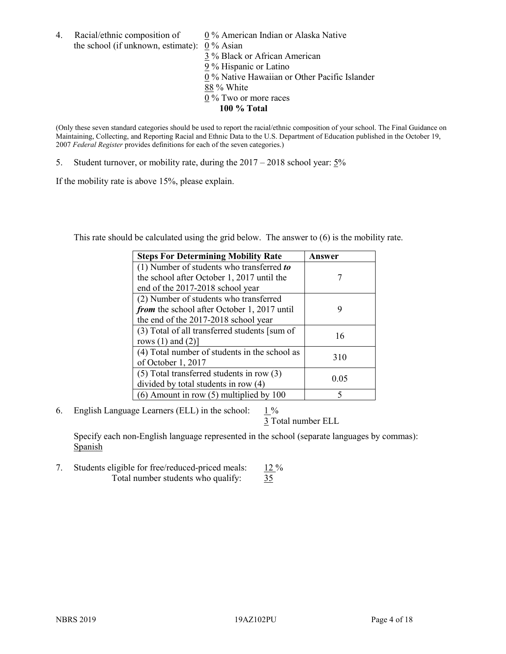4. Racial/ethnic composition of  $0\%$  American Indian or Alaska Native the school (if unknown, estimate): 0 % Asian

 % Black or African American % Hispanic or Latino % Native Hawaiian or Other Pacific Islander 88 % White % Two or more races **100 % Total**

(Only these seven standard categories should be used to report the racial/ethnic composition of your school. The Final Guidance on Maintaining, Collecting, and Reporting Racial and Ethnic Data to the U.S. Department of Education published in the October 19, 2007 *Federal Register* provides definitions for each of the seven categories.)

5. Student turnover, or mobility rate, during the 2017 – 2018 school year: 5%

If the mobility rate is above 15%, please explain.

This rate should be calculated using the grid below. The answer to (6) is the mobility rate.

| <b>Steps For Determining Mobility Rate</b>    | Answer |
|-----------------------------------------------|--------|
| (1) Number of students who transferred to     |        |
| the school after October 1, 2017 until the    |        |
| end of the 2017-2018 school year              |        |
| (2) Number of students who transferred        |        |
| from the school after October 1, 2017 until   | 9      |
| the end of the 2017-2018 school year          |        |
| (3) Total of all transferred students [sum of | 16     |
| rows $(1)$ and $(2)$ ]                        |        |
| (4) Total number of students in the school as |        |
| of October 1, 2017                            | 310    |
| $(5)$ Total transferred students in row $(3)$ |        |
| divided by total students in row (4)          | 0.05   |
| $(6)$ Amount in row $(5)$ multiplied by 100   |        |

6. English Language Learners (ELL) in the school:  $1\%$ 

3 Total number ELL

Specify each non-English language represented in the school (separate languages by commas): **Spanish** 

7. Students eligible for free/reduced-priced meals: 12 % Total number students who qualify: 35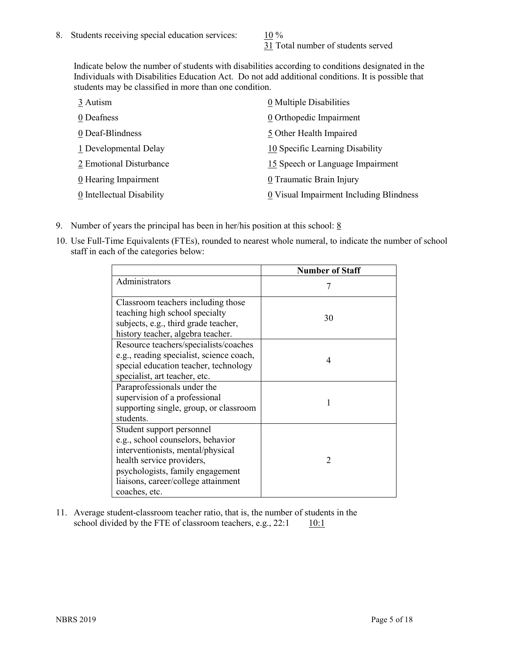31 Total number of students served

Indicate below the number of students with disabilities according to conditions designated in the Individuals with Disabilities Education Act. Do not add additional conditions. It is possible that students may be classified in more than one condition.

| 3 Autism                  | 0 Multiple Disabilities                 |
|---------------------------|-----------------------------------------|
| 0 Deafness                | 0 Orthopedic Impairment                 |
| 0 Deaf-Blindness          | 5 Other Health Impaired                 |
| 1 Developmental Delay     | 10 Specific Learning Disability         |
| 2 Emotional Disturbance   | 15 Speech or Language Impairment        |
| 0 Hearing Impairment      | 0 Traumatic Brain Injury                |
| 0 Intellectual Disability | 0 Visual Impairment Including Blindness |

- 9. Number of years the principal has been in her/his position at this school:  $8$
- 10. Use Full-Time Equivalents (FTEs), rounded to nearest whole numeral, to indicate the number of school staff in each of the categories below:

|                                                                                                                                                                                                                              | <b>Number of Staff</b> |
|------------------------------------------------------------------------------------------------------------------------------------------------------------------------------------------------------------------------------|------------------------|
| Administrators                                                                                                                                                                                                               |                        |
| Classroom teachers including those<br>teaching high school specialty<br>subjects, e.g., third grade teacher,<br>history teacher, algebra teacher.                                                                            | 30                     |
| Resource teachers/specialists/coaches<br>e.g., reading specialist, science coach,<br>special education teacher, technology<br>specialist, art teacher, etc.                                                                  | 4                      |
| Paraprofessionals under the<br>supervision of a professional<br>supporting single, group, or classroom<br>students.                                                                                                          | 1                      |
| Student support personnel<br>e.g., school counselors, behavior<br>interventionists, mental/physical<br>health service providers,<br>psychologists, family engagement<br>liaisons, career/college attainment<br>coaches, etc. | $\mathcal{D}$          |

11. Average student-classroom teacher ratio, that is, the number of students in the school divided by the FTE of classroom teachers, e.g.,  $22:1$  10:1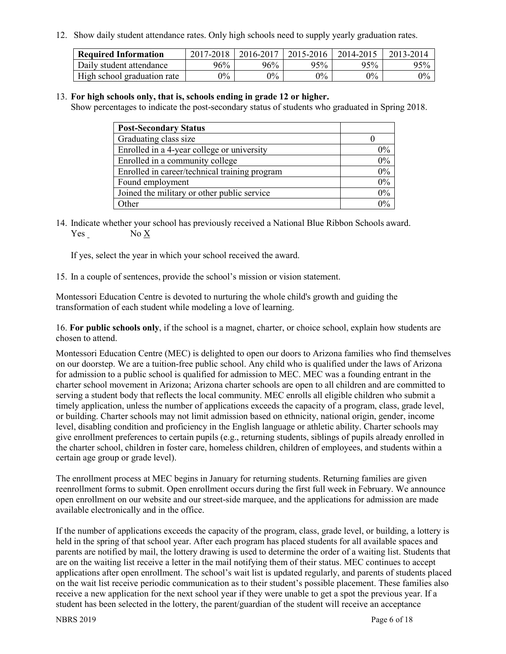12. Show daily student attendance rates. Only high schools need to supply yearly graduation rates.

| <b>Required Information</b> | 2017-2018 | 2016-2017 | 2015-2016 | 2014-2015 | 2013-2014 |
|-----------------------------|-----------|-----------|-----------|-----------|-----------|
| Daily student attendance    | 96%       | 96%       | 95%       | 95%       | 95%       |
| High school graduation rate | $0\%$     | $0\%$     | $0\%$     | $9\%$     | $0\%$     |

#### 13. **For high schools only, that is, schools ending in grade 12 or higher.**

Show percentages to indicate the post-secondary status of students who graduated in Spring 2018.

| <b>Post-Secondary Status</b>                  |       |
|-----------------------------------------------|-------|
| Graduating class size                         |       |
| Enrolled in a 4-year college or university    | $0\%$ |
| Enrolled in a community college               | 0%    |
| Enrolled in career/technical training program | $0\%$ |
| Found employment                              | 0%    |
| Joined the military or other public service   | 0%    |
| Other                                         | $0\%$ |

14. Indicate whether your school has previously received a National Blue Ribbon Schools award. Yes No X

If yes, select the year in which your school received the award.

15. In a couple of sentences, provide the school's mission or vision statement.

Montessori Education Centre is devoted to nurturing the whole child's growth and guiding the transformation of each student while modeling a love of learning.

16. **For public schools only**, if the school is a magnet, charter, or choice school, explain how students are chosen to attend.

Montessori Education Centre (MEC) is delighted to open our doors to Arizona families who find themselves on our doorstep. We are a tuition-free public school. Any child who is qualified under the laws of Arizona for admission to a public school is qualified for admission to MEC. MEC was a founding entrant in the charter school movement in Arizona; Arizona charter schools are open to all children and are committed to serving a student body that reflects the local community. MEC enrolls all eligible children who submit a timely application, unless the number of applications exceeds the capacity of a program, class, grade level, or building. Charter schools may not limit admission based on ethnicity, national origin, gender, income level, disabling condition and proficiency in the English language or athletic ability. Charter schools may give enrollment preferences to certain pupils (e.g., returning students, siblings of pupils already enrolled in the charter school, children in foster care, homeless children, children of employees, and students within a certain age group or grade level).

The enrollment process at MEC begins in January for returning students. Returning families are given reenrollment forms to submit. Open enrollment occurs during the first full week in February. We announce open enrollment on our website and our street-side marquee, and the applications for admission are made available electronically and in the office.

If the number of applications exceeds the capacity of the program, class, grade level, or building, a lottery is held in the spring of that school year. After each program has placed students for all available spaces and parents are notified by mail, the lottery drawing is used to determine the order of a waiting list. Students that are on the waiting list receive a letter in the mail notifying them of their status. MEC continues to accept applications after open enrollment. The school's wait list is updated regularly, and parents of students placed on the wait list receive periodic communication as to their student's possible placement. These families also receive a new application for the next school year if they were unable to get a spot the previous year. If a student has been selected in the lottery, the parent/guardian of the student will receive an acceptance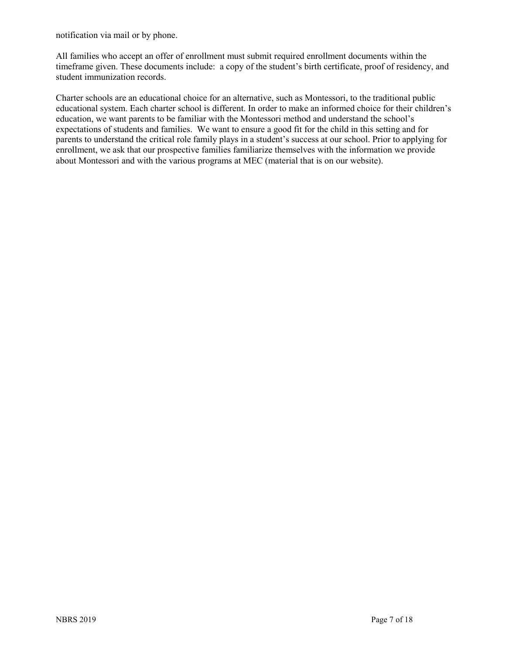notification via mail or by phone.

All families who accept an offer of enrollment must submit required enrollment documents within the timeframe given. These documents include: a copy of the student's birth certificate, proof of residency, and student immunization records.

Charter schools are an educational choice for an alternative, such as Montessori, to the traditional public educational system. Each charter school is different. In order to make an informed choice for their children's education, we want parents to be familiar with the Montessori method and understand the school's expectations of students and families. We want to ensure a good fit for the child in this setting and for parents to understand the critical role family plays in a student's success at our school. Prior to applying for enrollment, we ask that our prospective families familiarize themselves with the information we provide about Montessori and with the various programs at MEC (material that is on our website).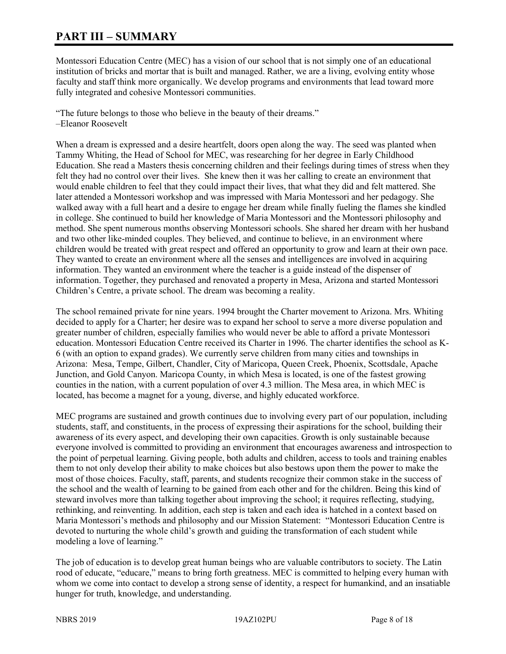# **PART III – SUMMARY**

Montessori Education Centre (MEC) has a vision of our school that is not simply one of an educational institution of bricks and mortar that is built and managed. Rather, we are a living, evolving entity whose faculty and staff think more organically. We develop programs and environments that lead toward more fully integrated and cohesive Montessori communities.

"The future belongs to those who believe in the beauty of their dreams." –Eleanor Roosevelt

When a dream is expressed and a desire heartfelt, doors open along the way. The seed was planted when Tammy Whiting, the Head of School for MEC, was researching for her degree in Early Childhood Education. She read a Masters thesis concerning children and their feelings during times of stress when they felt they had no control over their lives. She knew then it was her calling to create an environment that would enable children to feel that they could impact their lives, that what they did and felt mattered. She later attended a Montessori workshop and was impressed with Maria Montessori and her pedagogy. She walked away with a full heart and a desire to engage her dream while finally fueling the flames she kindled in college. She continued to build her knowledge of Maria Montessori and the Montessori philosophy and method. She spent numerous months observing Montessori schools. She shared her dream with her husband and two other like-minded couples. They believed, and continue to believe, in an environment where children would be treated with great respect and offered an opportunity to grow and learn at their own pace. They wanted to create an environment where all the senses and intelligences are involved in acquiring information. They wanted an environment where the teacher is a guide instead of the dispenser of information. Together, they purchased and renovated a property in Mesa, Arizona and started Montessori Children's Centre, a private school. The dream was becoming a reality.

The school remained private for nine years. 1994 brought the Charter movement to Arizona. Mrs. Whiting decided to apply for a Charter; her desire was to expand her school to serve a more diverse population and greater number of children, especially families who would never be able to afford a private Montessori education. Montessori Education Centre received its Charter in 1996. The charter identifies the school as K-6 (with an option to expand grades). We currently serve children from many cities and townships in Arizona: Mesa, Tempe, Gilbert, Chandler, City of Maricopa, Queen Creek, Phoenix, Scottsdale, Apache Junction, and Gold Canyon. Maricopa County, in which Mesa is located, is one of the fastest growing counties in the nation, with a current population of over 4.3 million. The Mesa area, in which MEC is located, has become a magnet for a young, diverse, and highly educated workforce.

MEC programs are sustained and growth continues due to involving every part of our population, including students, staff, and constituents, in the process of expressing their aspirations for the school, building their awareness of its every aspect, and developing their own capacities. Growth is only sustainable because everyone involved is committed to providing an environment that encourages awareness and introspection to the point of perpetual learning. Giving people, both adults and children, access to tools and training enables them to not only develop their ability to make choices but also bestows upon them the power to make the most of those choices. Faculty, staff, parents, and students recognize their common stake in the success of the school and the wealth of learning to be gained from each other and for the children. Being this kind of steward involves more than talking together about improving the school; it requires reflecting, studying, rethinking, and reinventing. In addition, each step is taken and each idea is hatched in a context based on Maria Montessori's methods and philosophy and our Mission Statement: "Montessori Education Centre is devoted to nurturing the whole child's growth and guiding the transformation of each student while modeling a love of learning."

The job of education is to develop great human beings who are valuable contributors to society. The Latin rood of educate, "educare," means to bring forth greatness. MEC is committed to helping every human with whom we come into contact to develop a strong sense of identity, a respect for humankind, and an insatiable hunger for truth, knowledge, and understanding.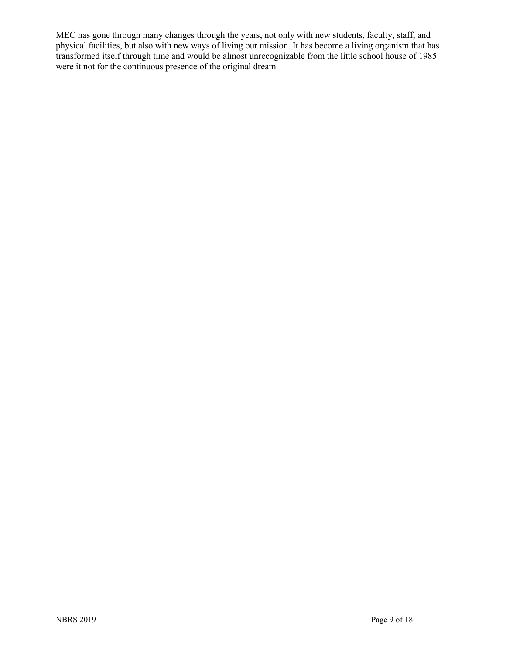MEC has gone through many changes through the years, not only with new students, faculty, staff, and physical facilities, but also with new ways of living our mission. It has become a living organism that has transformed itself through time and would be almost unrecognizable from the little school house of 1985 were it not for the continuous presence of the original dream.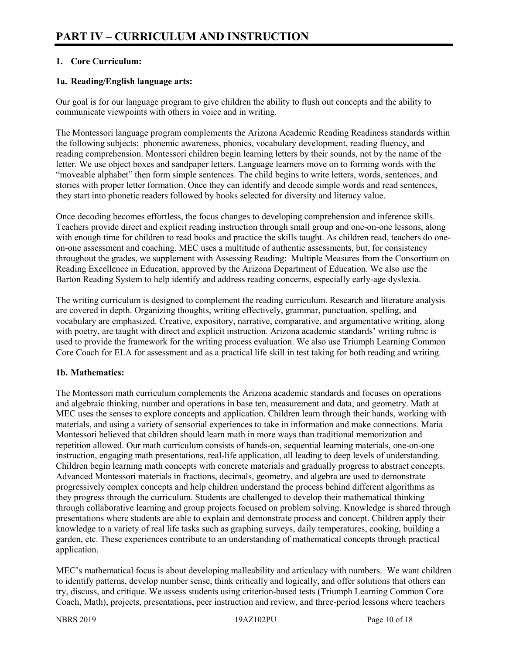# **1. Core Curriculum:**

# **1a. Reading/English language arts:**

Our goal is for our language program to give children the ability to flush out concepts and the ability to communicate viewpoints with others in voice and in writing.

The Montessori language program complements the Arizona Academic Reading Readiness standards within the following subjects: phonemic awareness, phonics, vocabulary development, reading fluency, and reading comprehension. Montessori children begin learning letters by their sounds, not by the name of the letter. We use object boxes and sandpaper letters. Language learners move on to forming words with the "moveable alphabet" then form simple sentences. The child begins to write letters, words, sentences, and stories with proper letter formation. Once they can identify and decode simple words and read sentences, they start into phonetic readers followed by books selected for diversity and literacy value.

Once decoding becomes effortless, the focus changes to developing comprehension and inference skills. Teachers provide direct and explicit reading instruction through small group and one-on-one lessons, along with enough time for children to read books and practice the skills taught. As children read, teachers do oneon-one assessment and coaching. MEC uses a multitude of authentic assessments, but, for consistency throughout the grades, we supplement with Assessing Reading: Multiple Measures from the Consortium on Reading Excellence in Education, approved by the Arizona Department of Education. We also use the Barton Reading System to help identify and address reading concerns, especially early-age dyslexia.

The writing curriculum is designed to complement the reading curriculum. Research and literature analysis are covered in depth. Organizing thoughts, writing effectively, grammar, punctuation, spelling, and vocabulary are emphasized. Creative, expository, narrative, comparative, and argumentative writing, along with poetry, are taught with direct and explicit instruction. Arizona academic standards' writing rubric is used to provide the framework for the writing process evaluation. We also use Triumph Learning Common Core Coach for ELA for assessment and as a practical life skill in test taking for both reading and writing.

# **1b. Mathematics:**

The Montessori math curriculum complements the Arizona academic standards and focuses on operations and algebraic thinking, number and operations in base ten, measurement and data, and geometry. Math at MEC uses the senses to explore concepts and application. Children learn through their hands, working with materials, and using a variety of sensorial experiences to take in information and make connections. Maria Montessori believed that children should learn math in more ways than traditional memorization and repetition allowed. Our math curriculum consists of hands-on, sequential learning materials, one-on-one instruction, engaging math presentations, real-life application, all leading to deep levels of understanding. Children begin learning math concepts with concrete materials and gradually progress to abstract concepts. Advanced Montessori materials in fractions, decimals, geometry, and algebra are used to demonstrate progressively complex concepts and help children understand the process behind different algorithms as they progress through the curriculum. Students are challenged to develop their mathematical thinking through collaborative learning and group projects focused on problem solving. Knowledge is shared through presentations where students are able to explain and demonstrate process and concept. Children apply their knowledge to a variety of real life tasks such as graphing surveys, daily temperatures, cooking, building a garden, etc. These experiences contribute to an understanding of mathematical concepts through practical application.

MEC's mathematical focus is about developing malleability and articulacy with numbers. We want children to identify patterns, develop number sense, think critically and logically, and offer solutions that others can try, discuss, and critique. We assess students using criterion-based tests (Triumph Learning Common Core Coach, Math), projects, presentations, peer instruction and review, and three-period lessons where teachers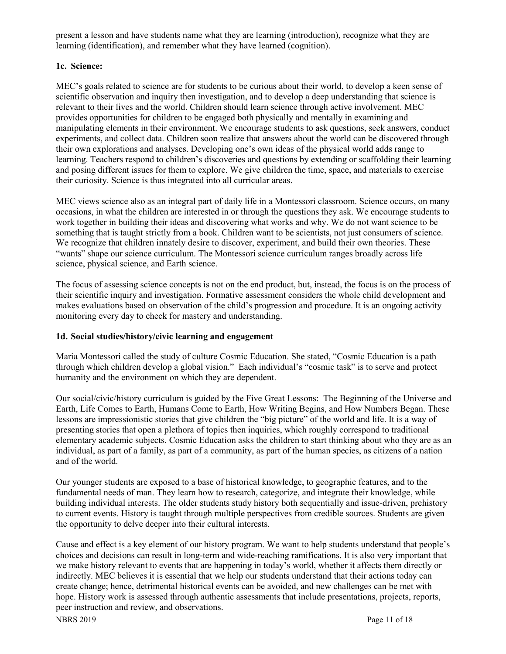present a lesson and have students name what they are learning (introduction), recognize what they are learning (identification), and remember what they have learned (cognition).

# **1c. Science:**

MEC's goals related to science are for students to be curious about their world, to develop a keen sense of scientific observation and inquiry then investigation, and to develop a deep understanding that science is relevant to their lives and the world. Children should learn science through active involvement. MEC provides opportunities for children to be engaged both physically and mentally in examining and manipulating elements in their environment. We encourage students to ask questions, seek answers, conduct experiments, and collect data. Children soon realize that answers about the world can be discovered through their own explorations and analyses. Developing one's own ideas of the physical world adds range to learning. Teachers respond to children's discoveries and questions by extending or scaffolding their learning and posing different issues for them to explore. We give children the time, space, and materials to exercise their curiosity. Science is thus integrated into all curricular areas.

MEC views science also as an integral part of daily life in a Montessori classroom. Science occurs, on many occasions, in what the children are interested in or through the questions they ask. We encourage students to work together in building their ideas and discovering what works and why. We do not want science to be something that is taught strictly from a book. Children want to be scientists, not just consumers of science. We recognize that children innately desire to discover, experiment, and build their own theories. These "wants" shape our science curriculum. The Montessori science curriculum ranges broadly across life science, physical science, and Earth science.

The focus of assessing science concepts is not on the end product, but, instead, the focus is on the process of their scientific inquiry and investigation. Formative assessment considers the whole child development and makes evaluations based on observation of the child's progression and procedure. It is an ongoing activity monitoring every day to check for mastery and understanding.

# **1d. Social studies/history/civic learning and engagement**

Maria Montessori called the study of culture Cosmic Education. She stated, "Cosmic Education is a path through which children develop a global vision." Each individual's "cosmic task" is to serve and protect humanity and the environment on which they are dependent.

Our social/civic/history curriculum is guided by the Five Great Lessons: The Beginning of the Universe and Earth, Life Comes to Earth, Humans Come to Earth, How Writing Begins, and How Numbers Began. These lessons are impressionistic stories that give children the "big picture" of the world and life. It is a way of presenting stories that open a plethora of topics then inquiries, which roughly correspond to traditional elementary academic subjects. Cosmic Education asks the children to start thinking about who they are as an individual, as part of a family, as part of a community, as part of the human species, as citizens of a nation and of the world.

Our younger students are exposed to a base of historical knowledge, to geographic features, and to the fundamental needs of man. They learn how to research, categorize, and integrate their knowledge, while building individual interests. The older students study history both sequentially and issue-driven, prehistory to current events. History is taught through multiple perspectives from credible sources. Students are given the opportunity to delve deeper into their cultural interests.

NBRS 2019 Page 11 of 18 Cause and effect is a key element of our history program. We want to help students understand that people's choices and decisions can result in long-term and wide-reaching ramifications. It is also very important that we make history relevant to events that are happening in today's world, whether it affects them directly or indirectly. MEC believes it is essential that we help our students understand that their actions today can create change; hence, detrimental historical events can be avoided, and new challenges can be met with hope. History work is assessed through authentic assessments that include presentations, projects, reports, peer instruction and review, and observations.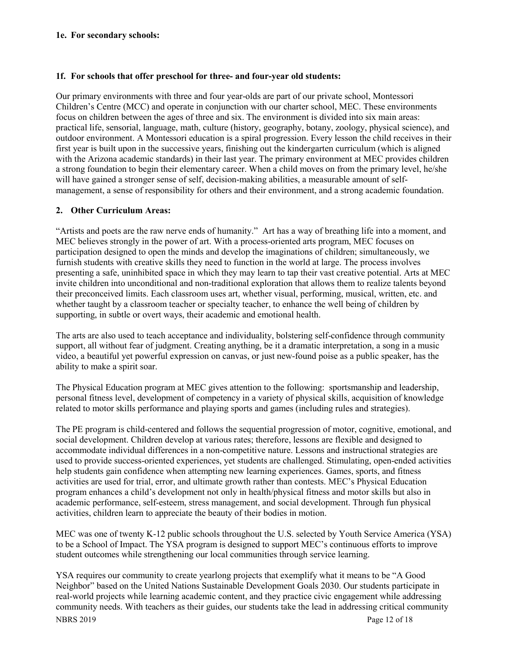#### **1e. For secondary schools:**

#### **1f. For schools that offer preschool for three- and four-year old students:**

Our primary environments with three and four year-olds are part of our private school, Montessori Children's Centre (MCC) and operate in conjunction with our charter school, MEC. These environments focus on children between the ages of three and six. The environment is divided into six main areas: practical life, sensorial, language, math, culture (history, geography, botany, zoology, physical science), and outdoor environment. A Montessori education is a spiral progression. Every lesson the child receives in their first year is built upon in the successive years, finishing out the kindergarten curriculum (which is aligned with the Arizona academic standards) in their last year. The primary environment at MEC provides children a strong foundation to begin their elementary career. When a child moves on from the primary level, he/she will have gained a stronger sense of self, decision-making abilities, a measurable amount of selfmanagement, a sense of responsibility for others and their environment, and a strong academic foundation.

# **2. Other Curriculum Areas:**

"Artists and poets are the raw nerve ends of humanity." Art has a way of breathing life into a moment, and MEC believes strongly in the power of art. With a process-oriented arts program, MEC focuses on participation designed to open the minds and develop the imaginations of children; simultaneously, we furnish students with creative skills they need to function in the world at large. The process involves presenting a safe, uninhibited space in which they may learn to tap their vast creative potential. Arts at MEC invite children into unconditional and non-traditional exploration that allows them to realize talents beyond their preconceived limits. Each classroom uses art, whether visual, performing, musical, written, etc. and whether taught by a classroom teacher or specialty teacher, to enhance the well being of children by supporting, in subtle or overt ways, their academic and emotional health.

The arts are also used to teach acceptance and individuality, bolstering self-confidence through community support, all without fear of judgment. Creating anything, be it a dramatic interpretation, a song in a music video, a beautiful yet powerful expression on canvas, or just new-found poise as a public speaker, has the ability to make a spirit soar.

The Physical Education program at MEC gives attention to the following: sportsmanship and leadership, personal fitness level, development of competency in a variety of physical skills, acquisition of knowledge related to motor skills performance and playing sports and games (including rules and strategies).

The PE program is child-centered and follows the sequential progression of motor, cognitive, emotional, and social development. Children develop at various rates; therefore, lessons are flexible and designed to accommodate individual differences in a non-competitive nature. Lessons and instructional strategies are used to provide success-oriented experiences, yet students are challenged. Stimulating, open-ended activities help students gain confidence when attempting new learning experiences. Games, sports, and fitness activities are used for trial, error, and ultimate growth rather than contests. MEC's Physical Education program enhances a child's development not only in health/physical fitness and motor skills but also in academic performance, self-esteem, stress management, and social development. Through fun physical activities, children learn to appreciate the beauty of their bodies in motion.

MEC was one of twenty K-12 public schools throughout the U.S. selected by Youth Service America (YSA) to be a School of Impact. The YSA program is designed to support MEC's continuous efforts to improve student outcomes while strengthening our local communities through service learning.

NBRS 2019 Page 12 of 18 YSA requires our community to create yearlong projects that exemplify what it means to be "A Good Neighbor" based on the United Nations Sustainable Development Goals 2030. Our students participate in real-world projects while learning academic content, and they practice civic engagement while addressing community needs. With teachers as their guides, our students take the lead in addressing critical community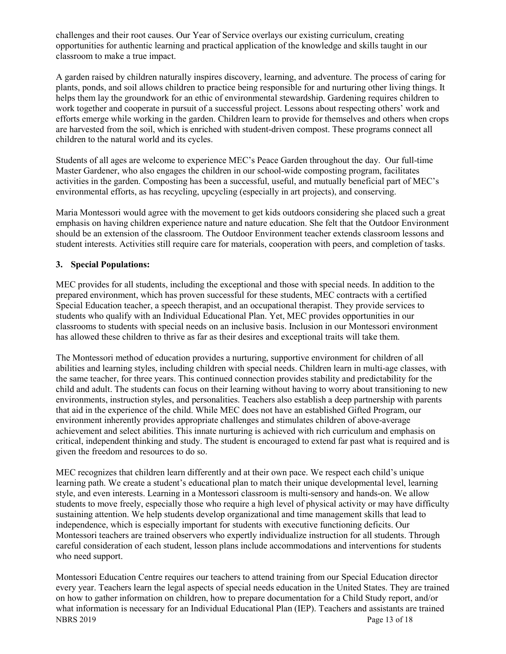challenges and their root causes. Our Year of Service overlays our existing curriculum, creating opportunities for authentic learning and practical application of the knowledge and skills taught in our classroom to make a true impact.

A garden raised by children naturally inspires discovery, learning, and adventure. The process of caring for plants, ponds, and soil allows children to practice being responsible for and nurturing other living things. It helps them lay the groundwork for an ethic of environmental stewardship. Gardening requires children to work together and cooperate in pursuit of a successful project. Lessons about respecting others' work and efforts emerge while working in the garden. Children learn to provide for themselves and others when crops are harvested from the soil, which is enriched with student-driven compost. These programs connect all children to the natural world and its cycles.

Students of all ages are welcome to experience MEC's Peace Garden throughout the day. Our full-time Master Gardener, who also engages the children in our school-wide composting program, facilitates activities in the garden. Composting has been a successful, useful, and mutually beneficial part of MEC's environmental efforts, as has recycling, upcycling (especially in art projects), and conserving.

Maria Montessori would agree with the movement to get kids outdoors considering she placed such a great emphasis on having children experience nature and nature education. She felt that the Outdoor Environment should be an extension of the classroom. The Outdoor Environment teacher extends classroom lessons and student interests. Activities still require care for materials, cooperation with peers, and completion of tasks.

# **3. Special Populations:**

MEC provides for all students, including the exceptional and those with special needs. In addition to the prepared environment, which has proven successful for these students, MEC contracts with a certified Special Education teacher, a speech therapist, and an occupational therapist. They provide services to students who qualify with an Individual Educational Plan. Yet, MEC provides opportunities in our classrooms to students with special needs on an inclusive basis. Inclusion in our Montessori environment has allowed these children to thrive as far as their desires and exceptional traits will take them.

The Montessori method of education provides a nurturing, supportive environment for children of all abilities and learning styles, including children with special needs. Children learn in multi-age classes, with the same teacher, for three years. This continued connection provides stability and predictability for the child and adult. The students can focus on their learning without having to worry about transitioning to new environments, instruction styles, and personalities. Teachers also establish a deep partnership with parents that aid in the experience of the child. While MEC does not have an established Gifted Program, our environment inherently provides appropriate challenges and stimulates children of above-average achievement and select abilities. This innate nurturing is achieved with rich curriculum and emphasis on critical, independent thinking and study. The student is encouraged to extend far past what is required and is given the freedom and resources to do so.

MEC recognizes that children learn differently and at their own pace. We respect each child's unique learning path. We create a student's educational plan to match their unique developmental level, learning style, and even interests. Learning in a Montessori classroom is multi-sensory and hands-on. We allow students to move freely, especially those who require a high level of physical activity or may have difficulty sustaining attention. We help students develop organizational and time management skills that lead to independence, which is especially important for students with executive functioning deficits. Our Montessori teachers are trained observers who expertly individualize instruction for all students. Through careful consideration of each student, lesson plans include accommodations and interventions for students who need support.

NBRS 2019 Page 13 of 18 Montessori Education Centre requires our teachers to attend training from our Special Education director every year. Teachers learn the legal aspects of special needs education in the United States. They are trained on how to gather information on children, how to prepare documentation for a Child Study report, and/or what information is necessary for an Individual Educational Plan (IEP). Teachers and assistants are trained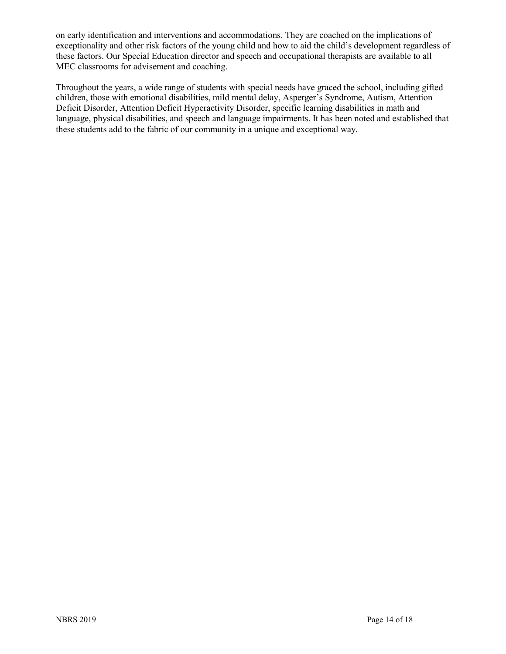on early identification and interventions and accommodations. They are coached on the implications of exceptionality and other risk factors of the young child and how to aid the child's development regardless of these factors. Our Special Education director and speech and occupational therapists are available to all MEC classrooms for advisement and coaching.

Throughout the years, a wide range of students with special needs have graced the school, including gifted children, those with emotional disabilities, mild mental delay, Asperger's Syndrome, Autism, Attention Deficit Disorder, Attention Deficit Hyperactivity Disorder, specific learning disabilities in math and language, physical disabilities, and speech and language impairments. It has been noted and established that these students add to the fabric of our community in a unique and exceptional way.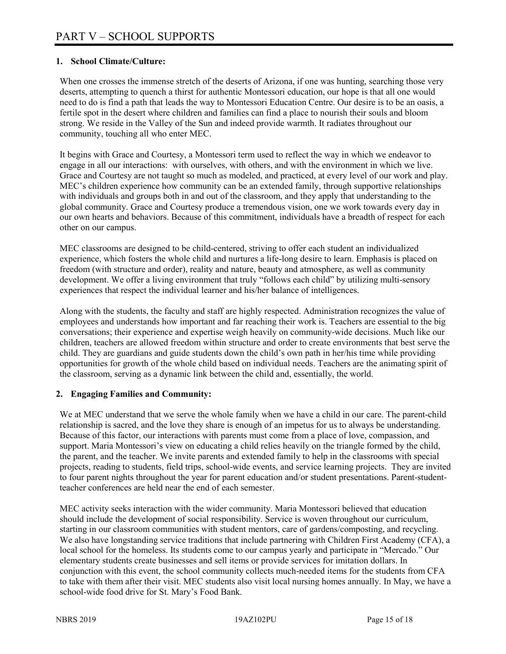# **1. School Climate/Culture:**

When one crosses the immense stretch of the deserts of Arizona, if one was hunting, searching those very deserts, attempting to quench a thirst for authentic Montessori education, our hope is that all one would need to do is find a path that leads the way to Montessori Education Centre. Our desire is to be an oasis, a fertile spot in the desert where children and families can find a place to nourish their souls and bloom strong. We reside in the Valley of the Sun and indeed provide warmth. It radiates throughout our community, touching all who enter MEC.

It begins with Grace and Courtesy, a Montessori term used to reflect the way in which we endeavor to engage in all our interactions: with ourselves, with others, and with the environment in which we live. Grace and Courtesy are not taught so much as modeled, and practiced, at every level of our work and play. MEC's children experience how community can be an extended family, through supportive relationships with individuals and groups both in and out of the classroom, and they apply that understanding to the global community. Grace and Courtesy produce a tremendous vision, one we work towards every day in our own hearts and behaviors. Because of this commitment, individuals have a breadth of respect for each other on our campus.

MEC classrooms are designed to be child-centered, striving to offer each student an individualized experience, which fosters the whole child and nurtures a life-long desire to learn. Emphasis is placed on freedom (with structure and order), reality and nature, beauty and atmosphere, as well as community development. We offer a living environment that truly "follows each child" by utilizing multi-sensory experiences that respect the individual learner and his/her balance of intelligences.

Along with the students, the faculty and staff are highly respected. Administration recognizes the value of employees and understands how important and far reaching their work is. Teachers are essential to the big conversations; their experience and expertise weigh heavily on community-wide decisions. Much like our children, teachers are allowed freedom within structure and order to create environments that best serve the child. They are guardians and guide students down the child's own path in her/his time while providing opportunities for growth of the whole child based on individual needs. Teachers are the animating spirit of the classroom, serving as a dynamic link between the child and, essentially, the world.

#### **2. Engaging Families and Community:**

We at MEC understand that we serve the whole family when we have a child in our care. The parent-child relationship is sacred, and the love they share is enough of an impetus for us to always be understanding. Because of this factor, our interactions with parents must come from a place of love, compassion, and support. Maria Montessori's view on educating a child relies heavily on the triangle formed by the child, the parent, and the teacher. We invite parents and extended family to help in the classrooms with special projects, reading to students, field trips, school-wide events, and service learning projects. They are invited to four parent nights throughout the year for parent education and/or student presentations. Parent-studentteacher conferences are held near the end of each semester.

MEC activity seeks interaction with the wider community. Maria Montessori believed that education should include the development of social responsibility. Service is woven throughout our curriculum, starting in our classroom communities with student mentors, care of gardens/composting, and recycling. We also have longstanding service traditions that include partnering with Children First Academy (CFA), a local school for the homeless. Its students come to our campus yearly and participate in "Mercado." Our elementary students create businesses and sell items or provide services for imitation dollars. In conjunction with this event, the school community collects much-needed items for the students from CFA to take with them after their visit. MEC students also visit local nursing homes annually. In May, we have a school-wide food drive for St. Mary's Food Bank.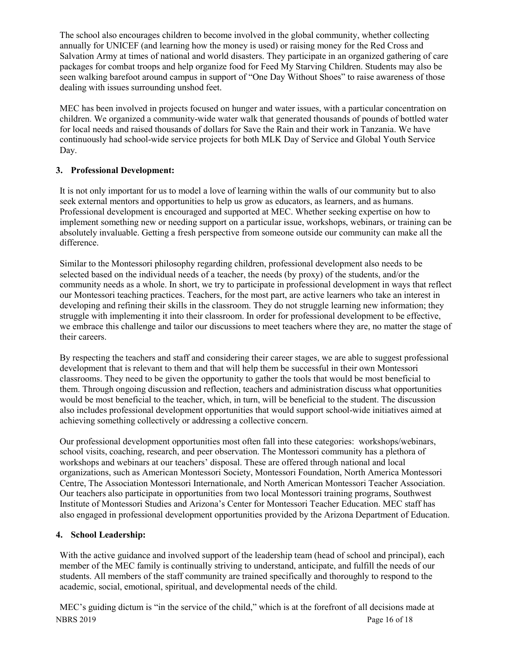The school also encourages children to become involved in the global community, whether collecting annually for UNICEF (and learning how the money is used) or raising money for the Red Cross and Salvation Army at times of national and world disasters. They participate in an organized gathering of care packages for combat troops and help organize food for Feed My Starving Children. Students may also be seen walking barefoot around campus in support of "One Day Without Shoes" to raise awareness of those dealing with issues surrounding unshod feet.

MEC has been involved in projects focused on hunger and water issues, with a particular concentration on children. We organized a community-wide water walk that generated thousands of pounds of bottled water for local needs and raised thousands of dollars for Save the Rain and their work in Tanzania. We have continuously had school-wide service projects for both MLK Day of Service and Global Youth Service Day.

# **3. Professional Development:**

It is not only important for us to model a love of learning within the walls of our community but to also seek external mentors and opportunities to help us grow as educators, as learners, and as humans. Professional development is encouraged and supported at MEC. Whether seeking expertise on how to implement something new or needing support on a particular issue, workshops, webinars, or training can be absolutely invaluable. Getting a fresh perspective from someone outside our community can make all the difference.

Similar to the Montessori philosophy regarding children, professional development also needs to be selected based on the individual needs of a teacher, the needs (by proxy) of the students, and/or the community needs as a whole. In short, we try to participate in professional development in ways that reflect our Montessori teaching practices. Teachers, for the most part, are active learners who take an interest in developing and refining their skills in the classroom. They do not struggle learning new information; they struggle with implementing it into their classroom. In order for professional development to be effective, we embrace this challenge and tailor our discussions to meet teachers where they are, no matter the stage of their careers.

By respecting the teachers and staff and considering their career stages, we are able to suggest professional development that is relevant to them and that will help them be successful in their own Montessori classrooms. They need to be given the opportunity to gather the tools that would be most beneficial to them. Through ongoing discussion and reflection, teachers and administration discuss what opportunities would be most beneficial to the teacher, which, in turn, will be beneficial to the student. The discussion also includes professional development opportunities that would support school-wide initiatives aimed at achieving something collectively or addressing a collective concern.

Our professional development opportunities most often fall into these categories: workshops/webinars, school visits, coaching, research, and peer observation. The Montessori community has a plethora of workshops and webinars at our teachers' disposal. These are offered through national and local organizations, such as American Montessori Society, Montessori Foundation, North America Montessori Centre, The Association Montessori Internationale, and North American Montessori Teacher Association. Our teachers also participate in opportunities from two local Montessori training programs, Southwest Institute of Montessori Studies and Arizona's Center for Montessori Teacher Education. MEC staff has also engaged in professional development opportunities provided by the Arizona Department of Education.

# **4. School Leadership:**

With the active guidance and involved support of the leadership team (head of school and principal), each member of the MEC family is continually striving to understand, anticipate, and fulfill the needs of our students. All members of the staff community are trained specifically and thoroughly to respond to the academic, social, emotional, spiritual, and developmental needs of the child.

NBRS 2019 Page 16 of 18 MEC's guiding dictum is "in the service of the child," which is at the forefront of all decisions made at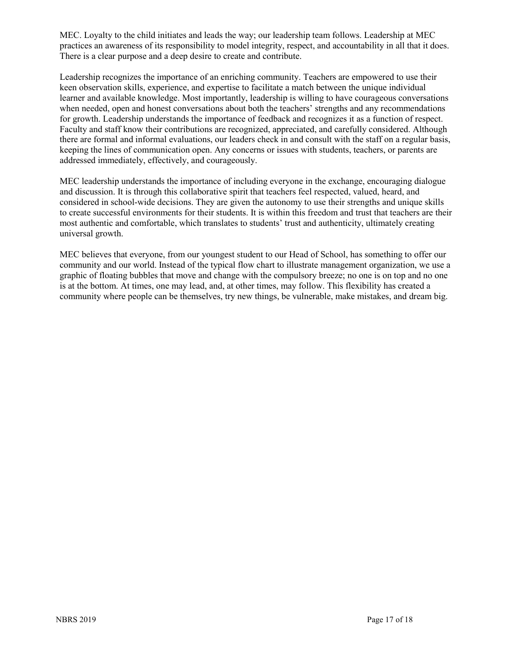MEC. Loyalty to the child initiates and leads the way; our leadership team follows. Leadership at MEC practices an awareness of its responsibility to model integrity, respect, and accountability in all that it does. There is a clear purpose and a deep desire to create and contribute.

Leadership recognizes the importance of an enriching community. Teachers are empowered to use their keen observation skills, experience, and expertise to facilitate a match between the unique individual learner and available knowledge. Most importantly, leadership is willing to have courageous conversations when needed, open and honest conversations about both the teachers' strengths and any recommendations for growth. Leadership understands the importance of feedback and recognizes it as a function of respect. Faculty and staff know their contributions are recognized, appreciated, and carefully considered. Although there are formal and informal evaluations, our leaders check in and consult with the staff on a regular basis, keeping the lines of communication open. Any concerns or issues with students, teachers, or parents are addressed immediately, effectively, and courageously.

MEC leadership understands the importance of including everyone in the exchange, encouraging dialogue and discussion. It is through this collaborative spirit that teachers feel respected, valued, heard, and considered in school-wide decisions. They are given the autonomy to use their strengths and unique skills to create successful environments for their students. It is within this freedom and trust that teachers are their most authentic and comfortable, which translates to students' trust and authenticity, ultimately creating universal growth.

MEC believes that everyone, from our youngest student to our Head of School, has something to offer our community and our world. Instead of the typical flow chart to illustrate management organization, we use a graphic of floating bubbles that move and change with the compulsory breeze; no one is on top and no one is at the bottom. At times, one may lead, and, at other times, may follow. This flexibility has created a community where people can be themselves, try new things, be vulnerable, make mistakes, and dream big.